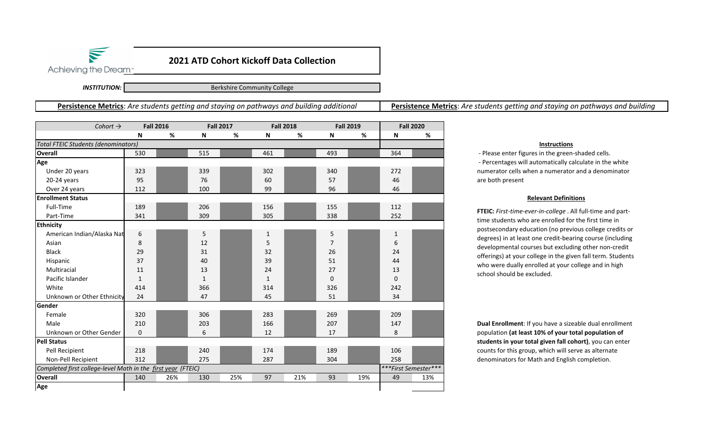

Achieving the Dream<sup>®</sup>

*INSTITUTION:*

 $\blacktriangledown$ 

Berkshire Community College

**Persistence Metrics**: *Are students getting and staying on pathways and building additional* 

**Persistence Metrics**: *Are students getting and staying on pathways and building* 

| Cohort $\rightarrow$                                         | <b>Fall 2016</b> |     | <b>Fall 2017</b> |     | <b>Fall 2018</b>          |     | <b>Fall 2019</b> |     | <b>Fall 2020</b>     |     |  |
|--------------------------------------------------------------|------------------|-----|------------------|-----|---------------------------|-----|------------------|-----|----------------------|-----|--|
|                                                              | N                | %   | N                | %   | $\boldsymbol{\mathsf{N}}$ | %   | N                | %   | N                    | %   |  |
| <b>Total FTEIC Students (denominators)</b>                   |                  |     |                  |     |                           |     |                  |     |                      |     |  |
| <b>Overall</b>                                               | 530              |     | 515              |     | 461                       |     | 493              |     | 364                  |     |  |
| Age                                                          |                  |     |                  |     |                           |     |                  |     |                      |     |  |
| Under 20 years                                               | 323              |     | 339              |     | 302                       |     | 340              |     | 272                  |     |  |
| 20-24 years                                                  | 95               |     | 76               |     | 60                        |     | 57               |     | 46                   |     |  |
| Over 24 years                                                | 112              |     | 100              |     | 99                        |     | 96               |     | 46                   |     |  |
| <b>Enrollment Status</b>                                     |                  |     |                  |     |                           |     |                  |     |                      |     |  |
| Full-Time                                                    | 189              |     | 206              |     | 156                       |     | 155              |     | 112                  |     |  |
| Part-Time                                                    | 341              |     | 309              |     | 305                       |     | 338              |     | 252                  |     |  |
| <b>Ethnicity</b>                                             |                  |     |                  |     |                           |     |                  |     |                      |     |  |
| American Indian/Alaska Nat                                   | 6                |     | 5                |     | $\mathbf{1}$              |     | 5                |     | $\mathbf{1}$         |     |  |
| Asian                                                        | 8                |     | 12               |     | 5                         |     | $\overline{7}$   |     | 6                    |     |  |
| <b>Black</b>                                                 | 29               |     | 31               |     | 32                        |     | 26               |     | 24                   |     |  |
| Hispanic                                                     | 37               |     | 40               |     | 39                        |     | 51               |     | 44                   |     |  |
| Multiracial                                                  | 11               |     | 13               |     | 24                        |     | 27               |     | 13                   |     |  |
| Pacific Islander                                             | $\mathbf{1}$     |     | $\mathbf{1}$     |     | $\mathbf{1}$              |     | $\Omega$         |     | $\mathbf 0$          |     |  |
| White                                                        | 414              |     | 366              |     | 314                       |     | 326              |     | 242                  |     |  |
| Unknown or Other Ethnicity                                   | 24               |     | 47               |     | 45                        |     | 51               |     | 34                   |     |  |
| <b>Gender</b>                                                |                  |     |                  |     |                           |     |                  |     |                      |     |  |
| Female                                                       | 320              |     | 306              |     | 283                       |     | 269              |     | 209                  |     |  |
| Male                                                         | 210              |     | 203              |     | 166                       |     | 207              |     | 147                  |     |  |
| Unknown or Other Gender                                      | 0                |     | 6                |     | 12                        |     | 17               |     | 8                    |     |  |
| <b>Pell Status</b>                                           |                  |     |                  |     |                           |     |                  |     |                      |     |  |
| Pell Recipient                                               | 218              |     | 240              |     | 174                       |     | 189              |     | 106                  |     |  |
| Non-Pell Recipient                                           | 312              |     | 275              |     | 287                       |     | 304              |     | 258                  |     |  |
| Completed first college-level Math in the first year (FTEIC) |                  |     |                  |     |                           |     |                  |     | ***First Semester*** |     |  |
| <b>Overall</b>                                               | 140              | 26% | 130              | 25% | 97                        | 21% | 93               | 19% | 49                   | 13% |  |
| Age                                                          |                  |     |                  |     |                           |     |                  |     |                      |     |  |

## **Instructions**

 ‐ Please enter figures in the green‐shaded cells. ‐ Percentages will automatically calculate in the white numerator cells when a numerator and a denominator are both present

## **Relevant Definitions**

**FTEIC:** *First‐time‐ever‐in‐college* . All full‐time and part‐ time students who are enrolled for the first time in postsecondary education (no previous college credits or degrees) in at least one credit‐bearing course (including developmental courses but excluding other non‐credit offerings) at your college in the given fall term. Students who were dually enrolled at your college and in high school should be excluded.

**Dual Enrollment**: If you have a sizeable dual enrollment population **(at least 10% of your total population of students in your total given fall cohort)**, you can enter counts for this group, which will serve as alternate denominators for Math and English completion.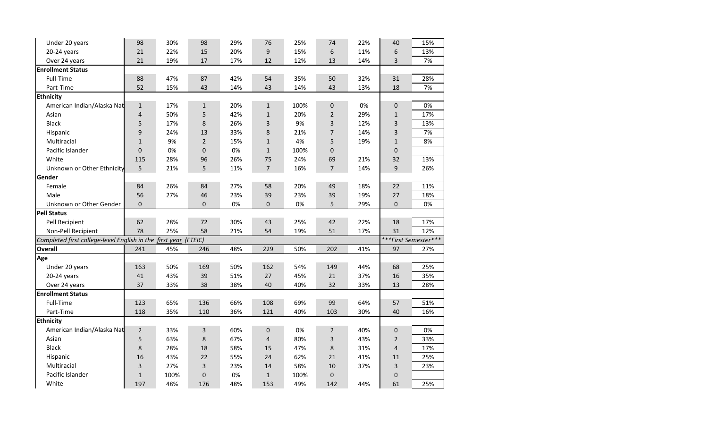| Under 20 years                                                  | 98             | 30%  | 98             | 29% | 76             | 25%  | 74             | 22% | 40                   | 15% |  |  |  |
|-----------------------------------------------------------------|----------------|------|----------------|-----|----------------|------|----------------|-----|----------------------|-----|--|--|--|
| 20-24 years                                                     | 21             | 22%  | 15             | 20% | 9              | 15%  | 6              | 11% | 6                    | 13% |  |  |  |
| Over 24 years                                                   | 21             | 19%  | 17             | 17% | 12             | 12%  | 13             | 14% | 3                    | 7%  |  |  |  |
| <b>Enrollment Status</b>                                        |                |      |                |     |                |      |                |     |                      |     |  |  |  |
| Full-Time                                                       | 88             | 47%  | 87             | 42% | 54             | 35%  | 50             | 32% | 31                   | 28% |  |  |  |
| Part-Time                                                       | 52             | 15%  | 43             | 14% | 43             | 14%  | 43             | 13% | 18                   | 7%  |  |  |  |
| <b>Ethnicity</b>                                                |                |      |                |     |                |      |                |     |                      |     |  |  |  |
| American Indian/Alaska Nat                                      | $\mathbf{1}$   | 17%  | $\mathbf{1}$   | 20% | $\mathbf{1}$   | 100% | $\mathbf 0$    | 0%  | $\mathbf{0}$         | 0%  |  |  |  |
| Asian                                                           | 4              | 50%  | 5              | 42% | $\mathbf{1}$   | 20%  | $\overline{2}$ | 29% | $\mathbf{1}$         | 17% |  |  |  |
| <b>Black</b>                                                    | 5              | 17%  | 8              | 26% | 3              | 9%   | 3              | 12% | 3                    | 13% |  |  |  |
| Hispanic                                                        | 9              | 24%  | 13             | 33% | 8              | 21%  | $\overline{7}$ | 14% | 3                    | 7%  |  |  |  |
| Multiracial                                                     | $\mathbf{1}$   | 9%   | $\overline{2}$ | 15% | $\mathbf{1}$   | 4%   | 5              | 19% | $\mathbf{1}$         | 8%  |  |  |  |
| Pacific Islander                                                | 0              | 0%   | $\pmb{0}$      | 0%  | $1\,$          | 100% | 0              |     | $\pmb{0}$            |     |  |  |  |
| White                                                           | 115            | 28%  | 96             | 26% | 75             | 24%  | 69             | 21% | 32                   | 13% |  |  |  |
| Unknown or Other Ethnicity                                      | 5              | 21%  | 5              | 11% | $\overline{7}$ | 16%  | $\overline{7}$ | 14% | 9                    | 26% |  |  |  |
| Gender                                                          |                |      |                |     |                |      |                |     |                      |     |  |  |  |
| Female                                                          | 84             | 26%  | 84             | 27% | 58             | 20%  | 49             | 18% | 22                   | 11% |  |  |  |
| Male                                                            | 56             | 27%  | 46             | 23% | 39             | 23%  | 39             | 19% | 27                   | 18% |  |  |  |
| Unknown or Other Gender                                         | $\mathbf 0$    |      | $\mathbf{0}$   | 0%  | $\mathbf{0}$   | 0%   | 5              | 29% | $\mathbf{0}$         | 0%  |  |  |  |
| <b>Pell Status</b>                                              |                |      |                |     |                |      |                |     |                      |     |  |  |  |
| Pell Recipient                                                  | 62             | 28%  | 72             | 30% | 43             | 25%  | 42             | 22% | 18                   | 17% |  |  |  |
| Non-Pell Recipient                                              | 78             | 25%  | 58             | 21% | 54             | 19%  | 51             | 17% | 31                   | 12% |  |  |  |
| Completed first college-level English in the first year (FTEIC) |                |      |                |     |                |      |                |     | ***First Semester*** |     |  |  |  |
| <b>Overall</b>                                                  | 241            | 45%  | 246            | 48% | 229            | 50%  | 202            | 41% | 97                   | 27% |  |  |  |
| Age                                                             |                |      |                |     |                |      |                |     |                      |     |  |  |  |
| Under 20 years                                                  | 163            | 50%  | 169            | 50% | 162            | 54%  | 149            | 44% | 68                   | 25% |  |  |  |
| 20-24 years                                                     | 41             | 43%  | 39             | 51% | 27             | 45%  | 21             | 37% | 16                   | 35% |  |  |  |
| Over 24 years                                                   | 37             | 33%  | 38             | 38% | 40             | 40%  | 32             | 33% | 13                   | 28% |  |  |  |
| <b>Enrollment Status</b>                                        |                |      |                |     |                |      |                |     |                      |     |  |  |  |
| Full-Time                                                       | 123            | 65%  | 136            | 66% | 108            | 69%  | 99             | 64% | 57                   | 51% |  |  |  |
| Part-Time                                                       | 118            | 35%  | 110            | 36% | 121            | 40%  | 103            | 30% | 40                   | 16% |  |  |  |
| <b>Ethnicity</b>                                                |                |      |                |     |                |      |                |     |                      |     |  |  |  |
| American Indian/Alaska Nat                                      | $\overline{2}$ | 33%  | 3              | 60% | $\mathbf 0$    | 0%   | $\overline{2}$ | 40% | $\mathbf 0$          | 0%  |  |  |  |
| Asian                                                           | 5              | 63%  | $\,8\,$        | 67% | $\overline{4}$ | 80%  | 3              | 43% | $\overline{2}$       | 33% |  |  |  |
| <b>Black</b>                                                    | 8              | 28%  | 18             | 58% | 15             | 47%  | 8              | 31% | 4                    | 17% |  |  |  |
| Hispanic                                                        | 16             | 43%  | 22             | 55% | 24             | 62%  | 21             | 41% | 11                   | 25% |  |  |  |
| Multiracial                                                     | 3              | 27%  | 3              | 23% | 14             | 58%  | 10             | 37% | 3                    | 23% |  |  |  |
| Pacific Islander                                                | $\mathbf 1$    | 100% | $\pmb{0}$      | 0%  | $\mathbf{1}$   | 100% | 0              |     | $\pmb{0}$            |     |  |  |  |
| White                                                           | 197            | 48%  | 176            | 48% | 153            | 49%  | 142            | 44% | 61                   | 25% |  |  |  |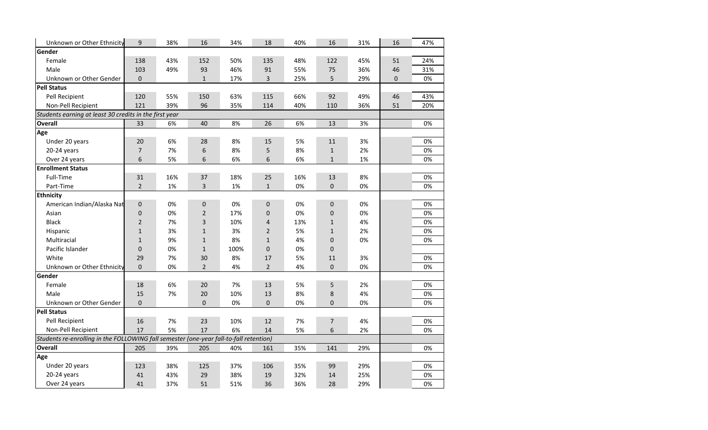| Unknown or Other Ethnicity                                                             | 9              | 38% | 16             | 34%  | 18             | 40% | 16           | 31% | 16 | 47% |
|----------------------------------------------------------------------------------------|----------------|-----|----------------|------|----------------|-----|--------------|-----|----|-----|
| Gender                                                                                 |                |     |                |      |                |     |              |     |    |     |
| Female                                                                                 | 138            | 43% | 152            | 50%  | 135            | 48% | 122          | 45% | 51 | 24% |
| Male                                                                                   | 103            | 49% | 93             | 46%  | 91             | 55% | 75           | 36% | 46 | 31% |
| Unknown or Other Gender                                                                | $\mathbf{0}$   |     | $\mathbf 1$    | 17%  | 3              | 25% | 5            | 29% | 0  | 0%  |
| <b>Pell Status</b>                                                                     |                |     |                |      |                |     |              |     |    |     |
| Pell Recipient                                                                         | 120            | 55% | 150            | 63%  | 115            | 66% | 92           | 49% | 46 | 43% |
| Non-Pell Recipient                                                                     | 121            | 39% | 96             | 35%  | 114            | 40% | 110          | 36% | 51 | 20% |
| Students earning at least 30 credits in the first year                                 |                |     |                |      |                |     |              |     |    |     |
| Overall                                                                                | 33             | 6%  | 40             | 8%   | 26             | 6%  | 13           | 3%  |    | 0%  |
| Age                                                                                    |                |     |                |      |                |     |              |     |    |     |
| Under 20 years                                                                         | 20             | 6%  | 28             | 8%   | 15             | 5%  | 11           | 3%  |    | 0%  |
| 20-24 years                                                                            | $\overline{7}$ | 7%  | 6              | 8%   | 5              | 8%  | $\mathbf{1}$ | 2%  |    | 0%  |
| Over 24 years                                                                          | 6              | 5%  | 6              | 6%   | 6              | 6%  | $\mathbf{1}$ | 1%  |    | 0%  |
| <b>Enrollment Status</b>                                                               |                |     |                |      |                |     |              |     |    |     |
| Full-Time                                                                              | 31             | 16% | 37             | 18%  | 25             | 16% | 13           | 8%  |    | 0%  |
| Part-Time                                                                              | $\overline{2}$ | 1%  | 3              | 1%   | $\mathbf{1}$   | 0%  | $\mathbf 0$  | 0%  |    | 0%  |
| <b>Ethnicity</b>                                                                       |                |     |                |      |                |     |              |     |    |     |
| American Indian/Alaska Nat                                                             | $\mathbf 0$    | 0%  | $\mathbf 0$    | 0%   | $\mathbf 0$    | 0%  | $\mathbf 0$  | 0%  |    | 0%  |
| Asian                                                                                  | $\pmb{0}$      | 0%  | $\overline{2}$ | 17%  | $\mathbf 0$    | 0%  | $\mathbf 0$  | 0%  |    | 0%  |
| <b>Black</b>                                                                           | $\overline{2}$ | 7%  | $\mathsf 3$    | 10%  | 4              | 13% | $\mathbf{1}$ | 4%  |    | 0%  |
| Hispanic                                                                               | $\mathbf{1}$   | 3%  | $\mathbf 1$    | 3%   | $\overline{2}$ | 5%  | $\mathbf{1}$ | 2%  |    | 0%  |
| Multiracial                                                                            | $\mathbf{1}$   | 9%  | $\mathbf{1}$   | 8%   | $\mathbf{1}$   | 4%  | $\Omega$     | 0%  |    | 0%  |
| Pacific Islander                                                                       | $\pmb{0}$      | 0%  | $\mathbf{1}$   | 100% | 0              | 0%  | 0            |     |    |     |
| White                                                                                  | 29             | 7%  | 30             | 8%   | 17             | 5%  | 11           | 3%  |    | 0%  |
| Unknown or Other Ethnicity                                                             | $\Omega$       | 0%  | $\overline{2}$ | 4%   | $\overline{2}$ | 4%  | $\Omega$     | 0%  |    | 0%  |
| Gender                                                                                 |                |     |                |      |                |     |              |     |    |     |
| Female                                                                                 | 18             | 6%  | 20             | 7%   | 13             | 5%  | 5            | 2%  |    | 0%  |
| Male                                                                                   | 15             | 7%  | 20             | 10%  | 13             | 8%  | 8            | 4%  |    | 0%  |
| Unknown or Other Gender                                                                | $\Omega$       |     | $\mathbf 0$    | 0%   | 0              | 0%  | $\Omega$     | 0%  |    | 0%  |
| <b>Pell Status</b>                                                                     |                |     |                |      |                |     |              |     |    |     |
| Pell Recipient                                                                         | 16             | 7%  | 23             | 10%  | 12             | 7%  | 7            | 4%  |    | 0%  |
| Non-Pell Recipient                                                                     | 17             | 5%  | 17             | 6%   | 14             | 5%  | 6            | 2%  |    | 0%  |
| Students re-enrolling in the FOLLOWING fall semester (one-year fall-to-fall retention) |                |     |                |      |                |     |              |     |    |     |
| <b>Overall</b>                                                                         | 205            | 39% | 205            | 40%  | 161            | 35% | 141          | 29% |    | 0%  |
| Age                                                                                    |                |     |                |      |                |     |              |     |    |     |
| Under 20 years                                                                         | 123            | 38% | 125            | 37%  | 106            | 35% | 99           | 29% |    | 0%  |
| 20-24 years                                                                            | 41             | 43% | 29             | 38%  | 19             | 32% | 14           | 25% |    | 0%  |
| Over 24 years                                                                          | 41             | 37% | 51             | 51%  | 36             | 36% | 28           | 29% |    | 0%  |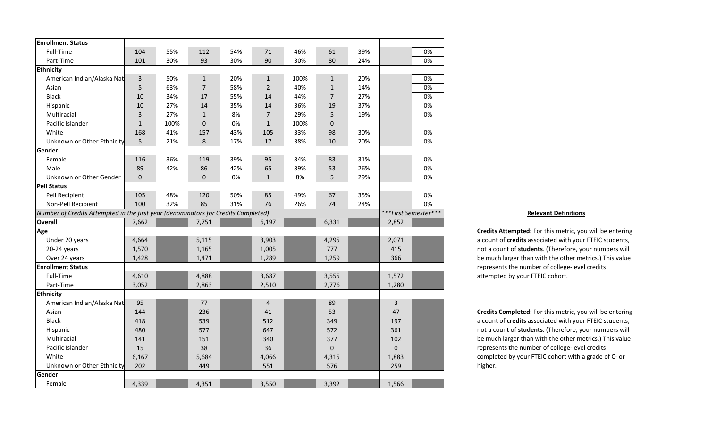| <b>Enrollment Status</b>                                                           |              |      |                |     |                |      |                |     |                |                      |
|------------------------------------------------------------------------------------|--------------|------|----------------|-----|----------------|------|----------------|-----|----------------|----------------------|
| Full-Time                                                                          | 104          | 55%  | 112            | 54% | 71             | 46%  | 61             | 39% |                | 0%                   |
| Part-Time                                                                          | 101          | 30%  | 93             | 30% | 90             | 30%  | 80             | 24% |                | 0%                   |
| <b>Ethnicity</b>                                                                   |              |      |                |     |                |      |                |     |                |                      |
| American Indian/Alaska Nat                                                         | $\mathsf{3}$ | 50%  | $\mathbf{1}$   | 20% | $\mathbf{1}$   | 100% | $\mathbf{1}$   | 20% |                | 0%                   |
| Asian                                                                              | 5            | 63%  | $\overline{7}$ | 58% | $\overline{2}$ | 40%  | $\mathbf{1}$   | 14% |                | 0%                   |
| <b>Black</b>                                                                       | 10           | 34%  | 17             | 55% | 14             | 44%  | $\overline{7}$ | 27% |                | 0%                   |
| Hispanic                                                                           | 10           | 27%  | 14             | 35% | 14             | 36%  | 19             | 37% |                | 0%                   |
| Multiracial                                                                        | 3            | 27%  | $1\,$          | 8%  | $\overline{7}$ | 29%  | 5              | 19% |                | 0%                   |
| Pacific Islander                                                                   | $\mathbf{1}$ | 100% | $\pmb{0}$      | 0%  | $\mathbf{1}$   | 100% | 0              |     |                |                      |
| White                                                                              | 168          | 41%  | 157            | 43% | 105            | 33%  | 98             | 30% |                | 0%                   |
| Unknown or Other Ethnicity                                                         | 5            | 21%  | $\bf 8$        | 17% | 17             | 38%  | 10             | 20% |                | 0%                   |
| Gender                                                                             |              |      |                |     |                |      |                |     |                |                      |
| Female                                                                             | 116          | 36%  | 119            | 39% | 95             | 34%  | 83             | 31% |                | 0%                   |
| Male                                                                               | 89           | 42%  | 86             | 42% | 65             | 39%  | 53             | 26% |                | 0%                   |
| Unknown or Other Gender                                                            | $\Omega$     |      | 0              | 0%  | $\mathbf{1}$   | 8%   | 5              | 29% |                | 0%                   |
| <b>Pell Status</b>                                                                 |              |      |                |     |                |      |                |     |                |                      |
| Pell Recipient                                                                     | 105          | 48%  | 120            | 50% | 85             | 49%  | 67             | 35% |                | 0%                   |
| Non-Pell Recipient                                                                 | 100          | 32%  | 85             | 31% | 76             | 26%  | 74             | 24% |                | 0%                   |
| Number of Credits Attempted in the first year (denominators for Credits Completed) |              |      |                |     |                |      |                |     |                | ***First Semester*** |
| <b>Overall</b>                                                                     | 7,662        |      | 7,751          |     | 6,197          |      | 6,331          |     | 2,852          |                      |
| Age                                                                                |              |      |                |     |                |      |                |     |                |                      |
| Under 20 years                                                                     | 4,664        |      | 5,115          |     | 3,903          |      | 4,295          |     | 2,071          |                      |
| 20-24 years                                                                        | 1,570        |      | 1,165          |     | 1,005          |      | 777            |     | 415            |                      |
| Over 24 years                                                                      | 1,428        |      | 1,471          |     | 1,289          |      | 1,259          |     | 366            |                      |
| <b>Enrollment Status</b>                                                           |              |      |                |     |                |      |                |     |                |                      |
| Full-Time                                                                          | 4,610        |      | 4,888          |     | 3,687          |      | 3,555          |     | 1,572          |                      |
| Part-Time                                                                          | 3,052        |      | 2,863          |     | 2,510          |      | 2,776          |     | 1,280          |                      |
| <b>Ethnicity</b>                                                                   |              |      |                |     |                |      |                |     |                |                      |
| American Indian/Alaska Nat                                                         | 95           |      | 77             |     | $\overline{4}$ |      | 89             |     | $\overline{3}$ |                      |
| Asian                                                                              | 144          |      | 236            |     | 41             |      | 53             |     | 47             |                      |
| <b>Black</b>                                                                       | 418          |      | 539            |     | 512            |      | 349            |     | 197            |                      |
| Hispanic                                                                           | 480          |      | 577            |     | 647            |      | 572            |     | 361            |                      |
| Multiracial                                                                        | 141          |      | 151            |     | 340            |      | 377            |     | 102            |                      |
| Pacific Islander                                                                   | 15           |      | 38             |     | 36             |      | 0              |     | $\mathbf 0$    |                      |
| White                                                                              | 6,167        |      | 5,684          |     | 4,066          |      | 4,315          |     | 1,883          |                      |
| Unknown or Other Ethnicity                                                         | 202          |      | 449            |     | 551            |      | 576            |     | 259            |                      |
| Gender                                                                             |              |      |                |     |                |      |                |     |                |                      |
| Female                                                                             | 4,339        |      | 4,351          |     | 3,550          |      | 3,392          |     | 1,566          |                      |

## **Relevant Definitions**

**Credits Attempted:** For this metric, you will be entering a count of **credits** associated with your FTEIC students, not a count of **students**. (Therefore, your numbers will be much larger than with the other metrics.) This value represents the number of college‐level credits attempted by your FTEIC cohort.

**Credits Completed:** For this metric, you will be entering a count of **credits** associated with your FTEIC students, not a count of **students**. (Therefore, your numbers will be much larger than with the other metrics.) This value represents the number of college‐level credits completed by your FTEIC cohort with a grade of C‐ or higher.